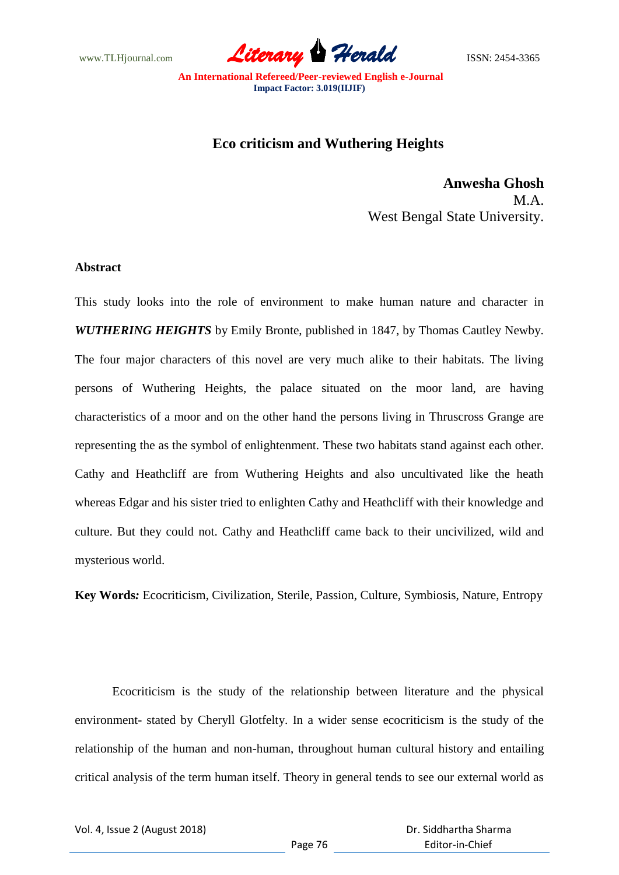www.TLHjournal.com *Literary Herald*ISSN: 2454-3365

## **Eco criticism and Wuthering Heights**

**Anwesha Ghosh** M.A. West Bengal State University.

## **Abstract**

This study looks into the role of environment to make human nature and character in *WUTHERING HEIGHTS* by Emily Bronte, published in 1847, by Thomas Cautley Newby. The four major characters of this novel are very much alike to their habitats. The living persons of Wuthering Heights, the palace situated on the moor land, are having characteristics of a moor and on the other hand the persons living in Thruscross Grange are representing the as the symbol of enlightenment. These two habitats stand against each other. Cathy and Heathcliff are from Wuthering Heights and also uncultivated like the heath whereas Edgar and his sister tried to enlighten Cathy and Heathcliff with their knowledge and culture. But they could not. Cathy and Heathcliff came back to their uncivilized, wild and mysterious world.

**Key Words***:* Ecocriticism, Civilization, Sterile, Passion, Culture, Symbiosis, Nature, Entropy

Ecocriticism is the study of the relationship between literature and the physical environment- stated by Cheryll Glotfelty. In a wider sense ecocriticism is the study of the relationship of the human and non-human, throughout human cultural history and entailing critical analysis of the term human itself. Theory in general tends to see our external world as

Vol. 4, Issue 2 (August 2018)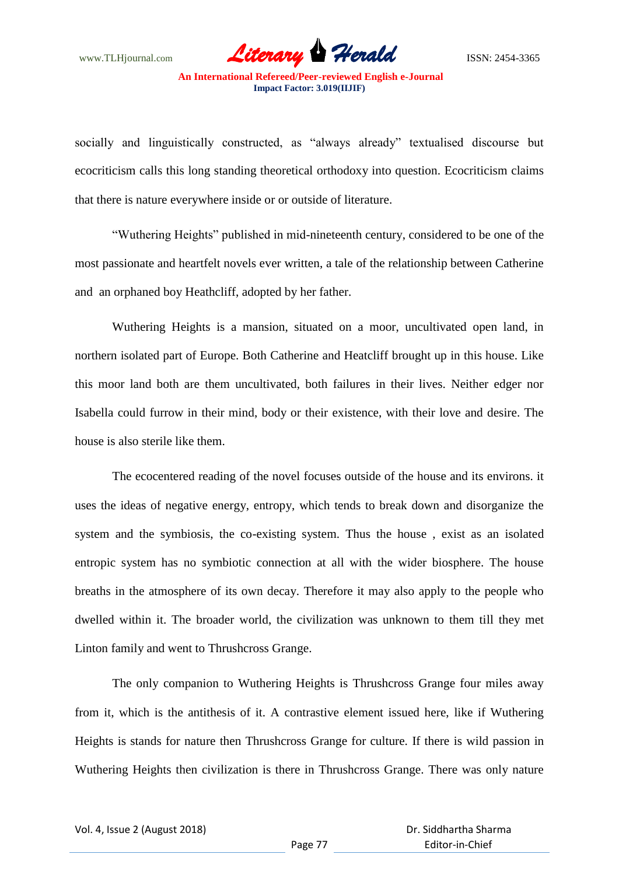www.TLHjournal.com **Literary Herald Branch** ISSN: 2454-3365

socially and linguistically constructed, as "always already" textualised discourse but ecocriticism calls this long standing theoretical orthodoxy into question. Ecocriticism claims that there is nature everywhere inside or or outside of literature.

"Wuthering Heights" published in mid-nineteenth century, considered to be one of the most passionate and heartfelt novels ever written, a tale of the relationship between Catherine and an orphaned boy Heathcliff, adopted by her father.

Wuthering Heights is a mansion, situated on a moor, uncultivated open land, in northern isolated part of Europe. Both Catherine and Heatcliff brought up in this house. Like this moor land both are them uncultivated, both failures in their lives. Neither edger nor Isabella could furrow in their mind, body or their existence, with their love and desire. The house is also sterile like them.

The ecocentered reading of the novel focuses outside of the house and its environs. it uses the ideas of negative energy, entropy, which tends to break down and disorganize the system and the symbiosis, the co-existing system. Thus the house , exist as an isolated entropic system has no symbiotic connection at all with the wider biosphere. The house breaths in the atmosphere of its own decay. Therefore it may also apply to the people who dwelled within it. The broader world, the civilization was unknown to them till they met Linton family and went to Thrushcross Grange.

The only companion to Wuthering Heights is Thrushcross Grange four miles away from it, which is the antithesis of it. A contrastive element issued here, like if Wuthering Heights is stands for nature then Thrushcross Grange for culture. If there is wild passion in Wuthering Heights then civilization is there in Thrushcross Grange. There was only nature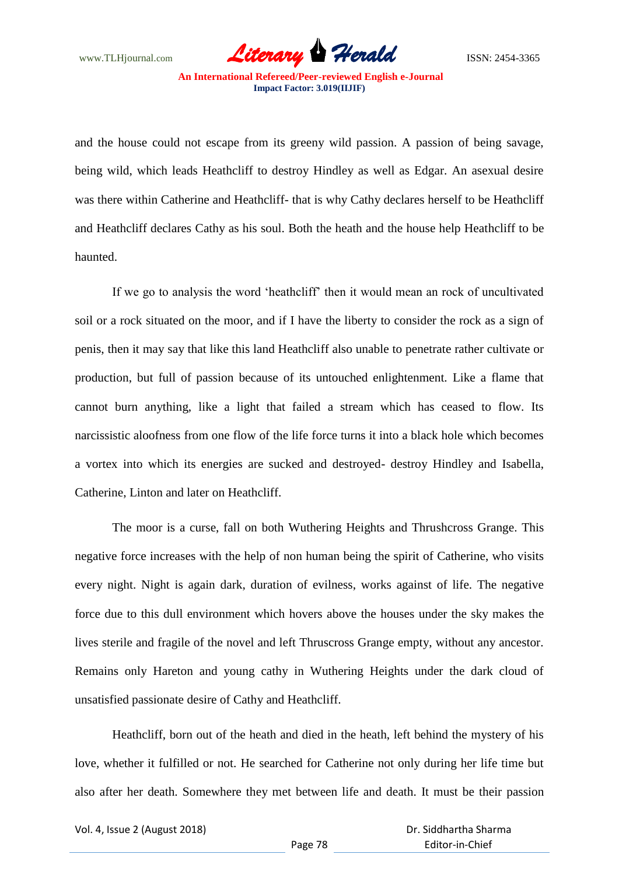www.TLHjournal.com **Literary Herald Branch** ISSN: 2454-3365

and the house could not escape from its greeny wild passion. A passion of being savage, being wild, which leads Heathcliff to destroy Hindley as well as Edgar. An asexual desire was there within Catherine and Heathcliff- that is why Cathy declares herself to be Heathcliff and Heathcliff declares Cathy as his soul. Both the heath and the house help Heathcliff to be haunted.

If we go to analysis the word "heathcliff" then it would mean an rock of uncultivated soil or a rock situated on the moor, and if I have the liberty to consider the rock as a sign of penis, then it may say that like this land Heathcliff also unable to penetrate rather cultivate or production, but full of passion because of its untouched enlightenment. Like a flame that cannot burn anything, like a light that failed a stream which has ceased to flow. Its narcissistic aloofness from one flow of the life force turns it into a black hole which becomes a vortex into which its energies are sucked and destroyed- destroy Hindley and Isabella, Catherine, Linton and later on Heathcliff.

The moor is a curse, fall on both Wuthering Heights and Thrushcross Grange. This negative force increases with the help of non human being the spirit of Catherine, who visits every night. Night is again dark, duration of evilness, works against of life. The negative force due to this dull environment which hovers above the houses under the sky makes the lives sterile and fragile of the novel and left Thruscross Grange empty, without any ancestor. Remains only Hareton and young cathy in Wuthering Heights under the dark cloud of unsatisfied passionate desire of Cathy and Heathcliff.

Heathcliff, born out of the heath and died in the heath, left behind the mystery of his love, whether it fulfilled or not. He searched for Catherine not only during her life time but also after her death. Somewhere they met between life and death. It must be their passion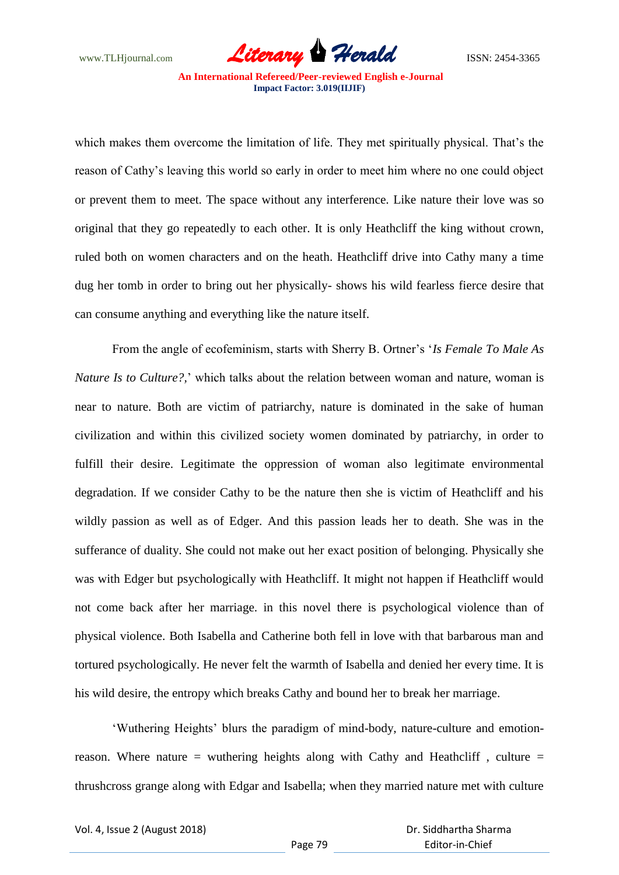www.TLHjournal.com **Literary Herald Branch** ISSN: 2454-3365

which makes them overcome the limitation of life. They met spiritually physical. That's the reason of Cathy"s leaving this world so early in order to meet him where no one could object or prevent them to meet. The space without any interference. Like nature their love was so original that they go repeatedly to each other. It is only Heathcliff the king without crown, ruled both on women characters and on the heath. Heathcliff drive into Cathy many a time dug her tomb in order to bring out her physically- shows his wild fearless fierce desire that can consume anything and everything like the nature itself.

From the angle of ecofeminism, starts with Sherry B. Ortner"s "*Is Female To Male As Nature Is to Culture?,*' which talks about the relation between woman and nature, woman is near to nature. Both are victim of patriarchy, nature is dominated in the sake of human civilization and within this civilized society women dominated by patriarchy, in order to fulfill their desire. Legitimate the oppression of woman also legitimate environmental degradation. If we consider Cathy to be the nature then she is victim of Heathcliff and his wildly passion as well as of Edger. And this passion leads her to death. She was in the sufferance of duality. She could not make out her exact position of belonging. Physically she was with Edger but psychologically with Heathcliff. It might not happen if Heathcliff would not come back after her marriage. in this novel there is psychological violence than of physical violence. Both Isabella and Catherine both fell in love with that barbarous man and tortured psychologically. He never felt the warmth of Isabella and denied her every time. It is his wild desire, the entropy which breaks Cathy and bound her to break her marriage.

"Wuthering Heights" blurs the paradigm of mind-body, nature-culture and emotionreason. Where nature  $=$  wuthering heights along with Cathy and Heathcliff , culture  $=$ thrushcross grange along with Edgar and Isabella; when they married nature met with culture